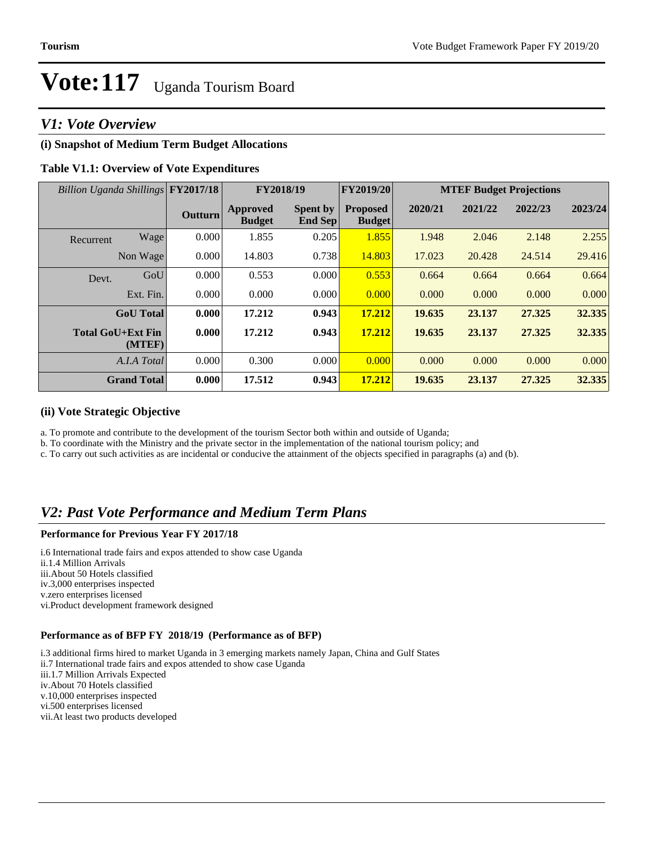# *V1: Vote Overview*

### **(i) Snapshot of Medium Term Budget Allocations**

#### **Table V1.1: Overview of Vote Expenditures**

| Billion Uganda Shillings FY2017/18 |                |                                  | FY2018/19                         | FY2019/20                        | <b>MTEF Budget Projections</b> |         |         |         |
|------------------------------------|----------------|----------------------------------|-----------------------------------|----------------------------------|--------------------------------|---------|---------|---------|
|                                    | <b>Outturn</b> | <b>Approved</b><br><b>Budget</b> | <b>Spent by</b><br><b>End Sep</b> | <b>Proposed</b><br><b>Budget</b> | 2020/21                        | 2021/22 | 2022/23 | 2023/24 |
| Wage<br>Recurrent                  | 0.000          | 1.855                            | 0.205                             | 1.855                            | 1.948                          | 2.046   | 2.148   | 2.255   |
| Non Wage                           | 0.000          | 14.803                           | 0.738                             | 14.803                           | 17.023                         | 20.428  | 24.514  | 29.416  |
| GoU<br>Devt.                       | 0.000          | 0.553                            | 0.000                             | 0.553                            | 0.664                          | 0.664   | 0.664   | 0.664   |
| Ext. Fin.                          | 0.000          | 0.000                            | 0.000                             | 0.000                            | 0.000                          | 0.000   | 0.000   | 0.000   |
| <b>GoU</b> Total                   | 0.000          | 17.212                           | 0.943                             | 17.212                           | 19.635                         | 23.137  | 27.325  | 32.335  |
| <b>Total GoU+Ext Fin</b><br>(MTEF) | 0.000          | 17.212                           | 0.943                             | 17.212                           | 19.635                         | 23.137  | 27.325  | 32.335  |
| A.I.A Total                        | 0.000          | 0.300                            | 0.000                             | 0.000                            | 0.000                          | 0.000   | 0.000   | 0.000   |
| <b>Grand Total</b>                 | 0.000          | 17.512                           | 0.943                             | 17.212                           | 19.635                         | 23.137  | 27.325  | 32.335  |

#### **(ii) Vote Strategic Objective**

a. To promote and contribute to the development of the tourism Sector both within and outside of Uganda;

b. To coordinate with the Ministry and the private sector in the implementation of the national tourism policy; and

c. To carry out such activities as are incidental or conducive the attainment of the objects specified in paragraphs (a) and (b).

# *V2: Past Vote Performance and Medium Term Plans*

#### **Performance for Previous Year FY 2017/18**

i.6 International trade fairs and expos attended to show case Uganda ii.1.4 Million Arrivals iii.About 50 Hotels classified iv.3,000 enterprises inspected v.zero enterprises licensed vi.Product development framework designed

#### **Performance as of BFP FY 2018/19 (Performance as of BFP)**

i.3 additional firms hired to market Uganda in 3 emerging markets namely Japan, China and Gulf States ii.7 International trade fairs and expos attended to show case Uganda iii.1.7 Million Arrivals Expected iv.About 70 Hotels classified v.10,000 enterprises inspected vi.500 enterprises licensed vii.At least two products developed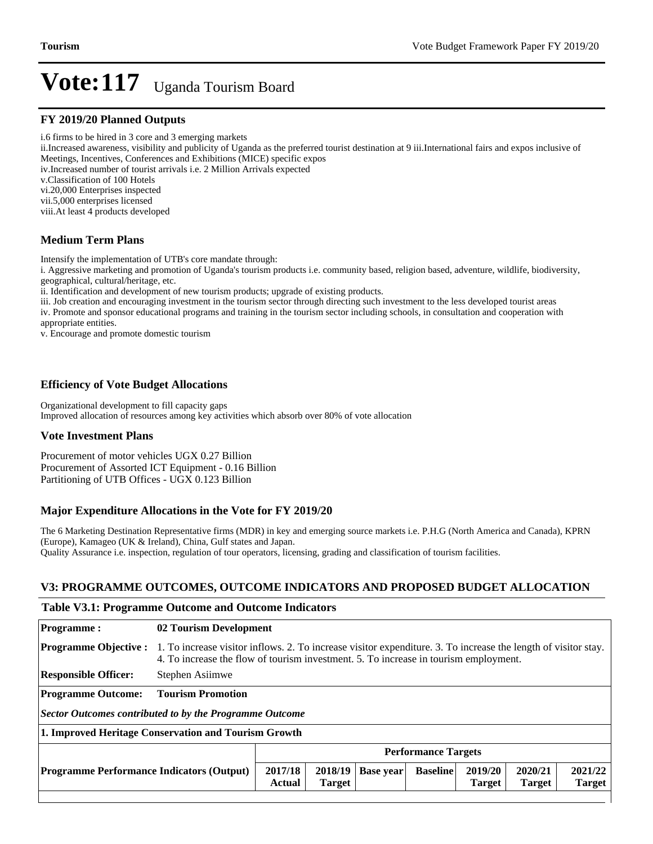#### **FY 2019/20 Planned Outputs**

i.6 firms to be hired in 3 core and 3 emerging markets

ii.Increased awareness, visibility and publicity of Uganda as the preferred tourist destination at 9 iii.International fairs and expos inclusive of Meetings, Incentives, Conferences and Exhibitions (MICE) specific expos

iv.Increased number of tourist arrivals i.e. 2 Million Arrivals expected

v.Classification of 100 Hotels

vi.20,000 Enterprises inspected

vii.5,000 enterprises licensed

viii.At least 4 products developed

### **Medium Term Plans**

Intensify the implementation of UTB's core mandate through:

i. Aggressive marketing and promotion of Uganda's tourism products i.e. community based, religion based, adventure, wildlife, biodiversity, geographical, cultural/heritage, etc.

ii. Identification and development of new tourism products; upgrade of existing products.

iii. Job creation and encouraging investment in the tourism sector through directing such investment to the less developed tourist areas iv. Promote and sponsor educational programs and training in the tourism sector including schools, in consultation and cooperation with appropriate entities.

v. Encourage and promote domestic tourism

### **Efficiency of Vote Budget Allocations**

Organizational development to fill capacity gaps Improved allocation of resources among key activities which absorb over 80% of vote allocation

#### **Vote Investment Plans**

Procurement of motor vehicles UGX 0.27 Billion Procurement of Assorted ICT Equipment - 0.16 Billion Partitioning of UTB Offices - UGX 0.123 Billion

#### **Major Expenditure Allocations in the Vote for FY 2019/20**

The 6 Marketing Destination Representative firms (MDR) in key and emerging source markets i.e. P.H.G (North America and Canada), KPRN (Europe), Kamageo (UK & Ireland), China, Gulf states and Japan. Quality Assurance i.e. inspection, regulation of tour operators, licensing, grading and classification of tourism facilities.

### **V3: PROGRAMME OUTCOMES, OUTCOME INDICATORS AND PROPOSED BUDGET ALLOCATION**

#### **Table V3.1: Programme Outcome and Outcome Indicators**

| <b>Programme:</b>                                       |                                                                                                                                                                                                        | 02 Tourism Development   |                          |                  |                 |                          |                          |                          |
|---------------------------------------------------------|--------------------------------------------------------------------------------------------------------------------------------------------------------------------------------------------------------|--------------------------|--------------------------|------------------|-----------------|--------------------------|--------------------------|--------------------------|
| <b>Programme Objective:</b>                             | 1. To increase visitor inflows. 2. To increase visitor expenditure. 3. To increase the length of visitor stay.<br>4. To increase the flow of tourism investment. 5. To increase in tourism employment. |                          |                          |                  |                 |                          |                          |                          |
| <b>Responsible Officer:</b>                             | Stephen Asiimwe                                                                                                                                                                                        |                          |                          |                  |                 |                          |                          |                          |
| <b>Programme Outcome:</b>                               | <b>Tourism Promotion</b>                                                                                                                                                                               |                          |                          |                  |                 |                          |                          |                          |
| Sector Outcomes contributed to by the Programme Outcome |                                                                                                                                                                                                        |                          |                          |                  |                 |                          |                          |                          |
| 1. Improved Heritage Conservation and Tourism Growth    |                                                                                                                                                                                                        |                          |                          |                  |                 |                          |                          |                          |
|                                                         | <b>Performance Targets</b>                                                                                                                                                                             |                          |                          |                  |                 |                          |                          |                          |
| <b>Programme Performance Indicators (Output)</b>        |                                                                                                                                                                                                        | 2017/18<br><b>Actual</b> | 2018/19<br><b>Target</b> | <b>Base year</b> | <b>Baseline</b> | 2019/20<br><b>Target</b> | 2020/21<br><b>Target</b> | 2021/22<br><b>Target</b> |
|                                                         |                                                                                                                                                                                                        |                          |                          |                  |                 |                          |                          |                          |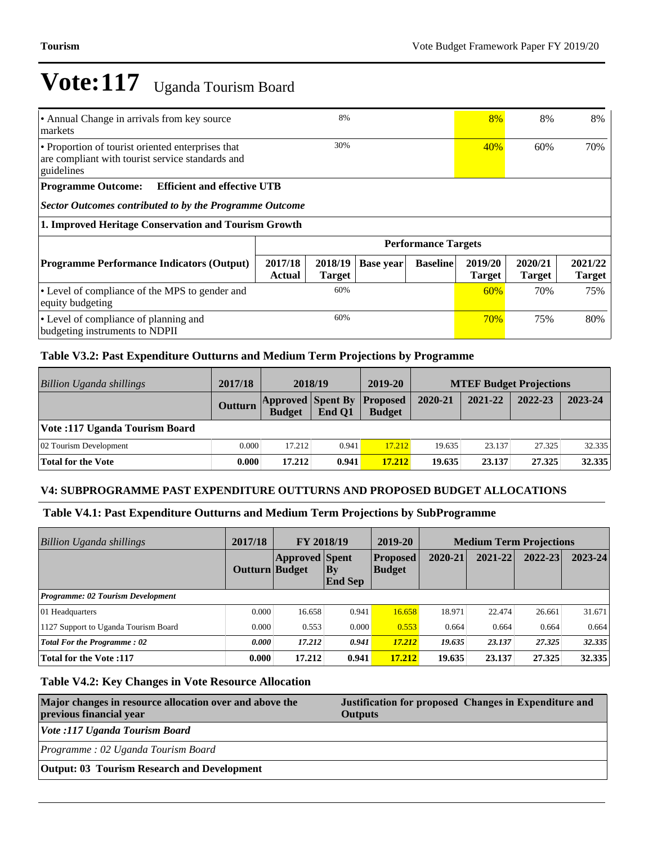| 8%<br>• Annual Change in arrivals from key source<br>markets                                                        |                   |                          |                  | 8%                         | 8%                       | 8%                       |                          |
|---------------------------------------------------------------------------------------------------------------------|-------------------|--------------------------|------------------|----------------------------|--------------------------|--------------------------|--------------------------|
| • Proportion of tourist oriented enterprises that<br>are compliant with tourist service standards and<br>guidelines | 30%               |                          |                  | 40%                        | 60%                      | 70%                      |                          |
| <b>Efficient and effective UTB</b><br><b>Programme Outcome:</b>                                                     |                   |                          |                  |                            |                          |                          |                          |
| Sector Outcomes contributed to by the Programme Outcome                                                             |                   |                          |                  |                            |                          |                          |                          |
| 1. Improved Heritage Conservation and Tourism Growth                                                                |                   |                          |                  |                            |                          |                          |                          |
|                                                                                                                     |                   |                          |                  | <b>Performance Targets</b> |                          |                          |                          |
| <b>Programme Performance Indicators (Output)</b>                                                                    | 2017/18<br>Actual | 2018/19<br><b>Target</b> | <b>Base year</b> | <b>Baseline</b>            | 2019/20<br><b>Target</b> | 2020/21<br><b>Target</b> | 2021/22<br><b>Target</b> |
| • Level of compliance of the MPS to gender and<br>equity budgeting                                                  |                   | 60%                      |                  |                            | 60%                      | 70%                      | 75%                      |
| 60%<br>• Level of compliance of planning and<br>budgeting instruments to NDPII                                      |                   |                          | 70%              | 75%                        | 80%                      |                          |                          |

## **Table V3.2: Past Expenditure Outturns and Medium Term Projections by Programme**

| Billion Uganda shillings       | 2017/18        | 2018/19                                   |        | 2019-20                          |         |         | <b>MTEF Budget Projections</b> |         |
|--------------------------------|----------------|-------------------------------------------|--------|----------------------------------|---------|---------|--------------------------------|---------|
|                                | <b>Outturn</b> | <b>Approved Spent By</b><br><b>Budget</b> | End O1 | <b>Proposed</b><br><b>Budget</b> | 2020-21 | 2021-22 | 2022-23                        | 2023-24 |
| Vote: 117 Uganda Tourism Board |                |                                           |        |                                  |         |         |                                |         |
| 02 Tourism Development         | 0.000          | 17.212                                    | 0.941  | 17.212                           | 19.635  | 23.137  | 27.325                         | 32.335  |
| <b>Total for the Vote</b>      | 0.000          | 17.212                                    | 0.941  | 17.212                           | 19.635  | 23.137  | 27.325                         | 32.335  |

#### **V4: SUBPROGRAMME PAST EXPENDITURE OUTTURNS AND PROPOSED BUDGET ALLOCATIONS**

#### **Table V4.1: Past Expenditure Outturns and Medium Term Projections by SubProgramme**

| <b>Billion Uganda shillings</b>      | 2017/18        | FY 2018/19            |                             | 2019-20                    | <b>Medium Term Projections</b> |         |         |         |
|--------------------------------------|----------------|-----------------------|-----------------------------|----------------------------|--------------------------------|---------|---------|---------|
|                                      | Outturn Budget | <b>Approved</b> Spent | $\bf{By}$<br><b>End Sep</b> | <b>Proposed</b><br> Budget | 2020-21                        | 2021-22 | 2022-23 | 2023-24 |
| Programme: 02 Tourism Development    |                |                       |                             |                            |                                |         |         |         |
| 01 Headquarters                      | 0.000          | 16.658                | 0.941                       | 16.658                     | 18.971                         | 22.474  | 26.661  | 31.671  |
| 1127 Support to Uganda Tourism Board | 0.000          | 0.553                 | 0.000                       | 0.553                      | 0.664                          | 0.664   | 0.664   | 0.664   |
| Total For the Programme: 02          | 0.000          | 17.212                | 0.941                       | 17.212                     | 19.635                         | 23.137  | 27.325  | 32.335  |
| <b>Total for the Vote:117</b>        | 0.000          | 17.212                | 0.941                       | 17.212                     | 19.635                         | 23.137  | 27.325  | 32.335  |

### **Table V4.2: Key Changes in Vote Resource Allocation**

| Major changes in resource allocation over and above the<br>previous financial year | Justification for proposed Changes in Expenditure and<br><b>Outputs</b> |
|------------------------------------------------------------------------------------|-------------------------------------------------------------------------|
| Vote :117 Uganda Tourism Board                                                     |                                                                         |
| Programme: 02 Uganda Tourism Board                                                 |                                                                         |
| <b>Output: 03 Tourism Research and Development</b>                                 |                                                                         |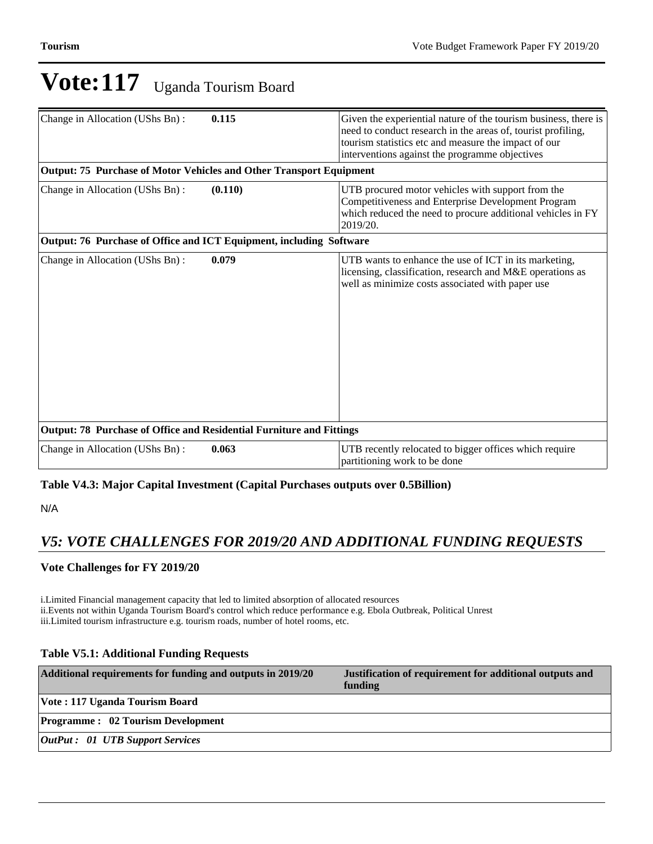| Change in Allocation (UShs Bn):                                      | 0.115   | Given the experiential nature of the tourism business, there is<br>need to conduct research in the areas of, tourist profiling,<br>tourism statistics etc and measure the impact of our<br>interventions against the programme objectives |
|----------------------------------------------------------------------|---------|-------------------------------------------------------------------------------------------------------------------------------------------------------------------------------------------------------------------------------------------|
| Output: 75 Purchase of Motor Vehicles and Other Transport Equipment  |         |                                                                                                                                                                                                                                           |
| Change in Allocation (UShs Bn):                                      | (0.110) | UTB procured motor vehicles with support from the<br>Competitiveness and Enterprise Development Program<br>which reduced the need to procure additional vehicles in FY<br>2019/20.                                                        |
| Output: 76 Purchase of Office and ICT Equipment, including Software  |         |                                                                                                                                                                                                                                           |
| Change in Allocation (UShs Bn):                                      | 0.079   | UTB wants to enhance the use of ICT in its marketing,<br>licensing, classification, research and M&E operations as<br>well as minimize costs associated with paper use                                                                    |
| Output: 78 Purchase of Office and Residential Furniture and Fittings |         |                                                                                                                                                                                                                                           |
| Change in Allocation (UShs Bn):                                      | 0.063   | UTB recently relocated to bigger offices which require<br>partitioning work to be done                                                                                                                                                    |

## **Table V4.3: Major Capital Investment (Capital Purchases outputs over 0.5Billion)**

N/A

# *V5: VOTE CHALLENGES FOR 2019/20 AND ADDITIONAL FUNDING REQUESTS*

## **Vote Challenges for FY 2019/20**

i.Limited Financial management capacity that led to limited absorption of allocated resources ii.Events not within Uganda Tourism Board's control which reduce performance e.g. Ebola Outbreak, Political Unrest iii.Limited tourism infrastructure e.g. tourism roads, number of hotel rooms, etc.

## **Table V5.1: Additional Funding Requests**

| Additional requirements for funding and outputs in 2019/20 | Justification of requirement for additional outputs and<br>funding |
|------------------------------------------------------------|--------------------------------------------------------------------|
| Vote: 117 Uganda Tourism Board                             |                                                                    |
| <b>Programme: 02 Tourism Development</b>                   |                                                                    |
| <b>OutPut : 01 UTB Support Services</b>                    |                                                                    |